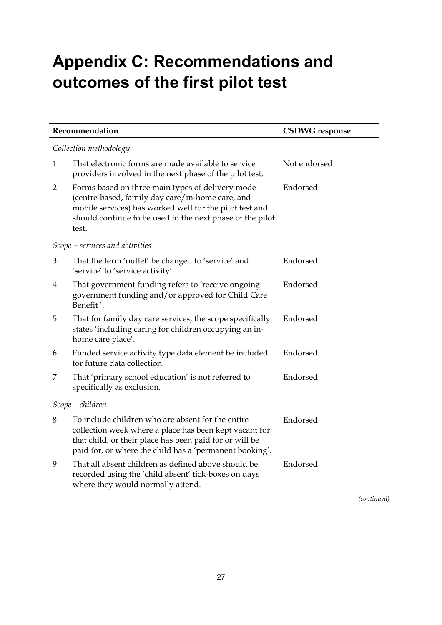## **Appendix C: Recommendations and outcomes of the first pilot test**

| Recommendation                  |                                                                                                                                                                                                                                       | <b>CSDWG</b> response |  |  |
|---------------------------------|---------------------------------------------------------------------------------------------------------------------------------------------------------------------------------------------------------------------------------------|-----------------------|--|--|
| Collection methodology          |                                                                                                                                                                                                                                       |                       |  |  |
| 1                               | That electronic forms are made available to service<br>providers involved in the next phase of the pilot test.                                                                                                                        | Not endorsed          |  |  |
| $\overline{2}$                  | Forms based on three main types of delivery mode<br>(centre-based, family day care/in-home care, and<br>mobile services) has worked well for the pilot test and<br>should continue to be used in the next phase of the pilot<br>test. | Endorsed              |  |  |
| Scope – services and activities |                                                                                                                                                                                                                                       |                       |  |  |
| 3                               | That the term 'outlet' be changed to 'service' and<br>'service' to 'service activity'.                                                                                                                                                | Endorsed              |  |  |
| 4                               | That government funding refers to 'receive ongoing<br>government funding and/or approved for Child Care<br>Benefit'.                                                                                                                  | Endorsed              |  |  |
| 5                               | That for family day care services, the scope specifically<br>states 'including caring for children occupying an in-<br>home care place'.                                                                                              | Endorsed              |  |  |
| 6                               | Funded service activity type data element be included<br>for future data collection.                                                                                                                                                  | Endorsed              |  |  |
| 7                               | That 'primary school education' is not referred to<br>specifically as exclusion.                                                                                                                                                      | Endorsed              |  |  |
| Scope – children                |                                                                                                                                                                                                                                       |                       |  |  |
| 8                               | To include children who are absent for the entire<br>collection week where a place has been kept vacant for<br>that child, or their place has been paid for or will be<br>paid for, or where the child has a 'permanent booking'.     | Endorsed              |  |  |
| 9                               | That all absent children as defined above should be<br>recorded using the 'child absent' tick-boxes on days<br>where they would normally attend.                                                                                      | Endorsed              |  |  |

*(continued)*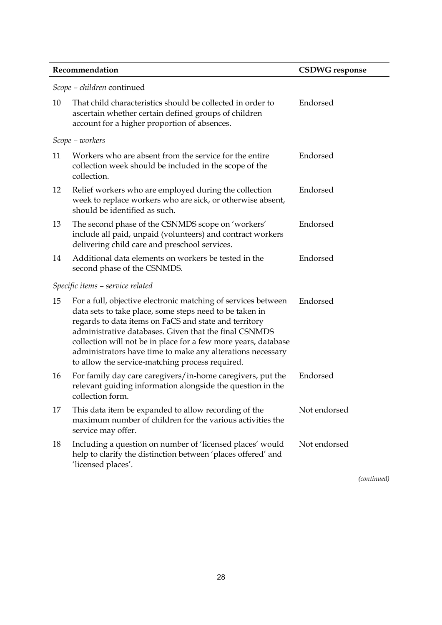*Scope – children* continued

| ocope                            | $-$ <i>Channen</i> communica                                                                                                                                                                                                                                                                                                                                                                                                  |              |  |  |
|----------------------------------|-------------------------------------------------------------------------------------------------------------------------------------------------------------------------------------------------------------------------------------------------------------------------------------------------------------------------------------------------------------------------------------------------------------------------------|--------------|--|--|
| 10                               | That child characteristics should be collected in order to<br>ascertain whether certain defined groups of children<br>account for a higher proportion of absences.                                                                                                                                                                                                                                                            | Endorsed     |  |  |
|                                  | Scope – workers                                                                                                                                                                                                                                                                                                                                                                                                               |              |  |  |
| 11                               | Workers who are absent from the service for the entire<br>collection week should be included in the scope of the<br>collection.                                                                                                                                                                                                                                                                                               | Endorsed     |  |  |
| 12                               | Relief workers who are employed during the collection<br>week to replace workers who are sick, or otherwise absent,<br>should be identified as such.                                                                                                                                                                                                                                                                          | Endorsed     |  |  |
| 13                               | The second phase of the CSNMDS scope on 'workers'<br>include all paid, unpaid (volunteers) and contract workers<br>delivering child care and preschool services.                                                                                                                                                                                                                                                              | Endorsed     |  |  |
| 14                               | Additional data elements on workers be tested in the<br>second phase of the CSNMDS.                                                                                                                                                                                                                                                                                                                                           | Endorsed     |  |  |
| Specific items – service related |                                                                                                                                                                                                                                                                                                                                                                                                                               |              |  |  |
| 15                               | For a full, objective electronic matching of services between<br>data sets to take place, some steps need to be taken in<br>regards to data items on FaCS and state and territory<br>administrative databases. Given that the final CSNMDS<br>collection will not be in place for a few more years, database<br>administrators have time to make any alterations necessary<br>to allow the service-matching process required. | Endorsed     |  |  |
| 16                               | For family day care caregivers/in-home caregivers, put the<br>relevant guiding information alongside the question in the<br>collection form.                                                                                                                                                                                                                                                                                  | Endorsed     |  |  |
| 17                               | This data item be expanded to allow recording of the<br>maximum number of children for the various activities the<br>service may offer.                                                                                                                                                                                                                                                                                       | Not endorsed |  |  |
| 18                               | Including a question on number of 'licensed places' would<br>help to clarify the distinction between 'places offered' and<br>'licensed places'.                                                                                                                                                                                                                                                                               | Not endorsed |  |  |
|                                  |                                                                                                                                                                                                                                                                                                                                                                                                                               |              |  |  |

*(continued)*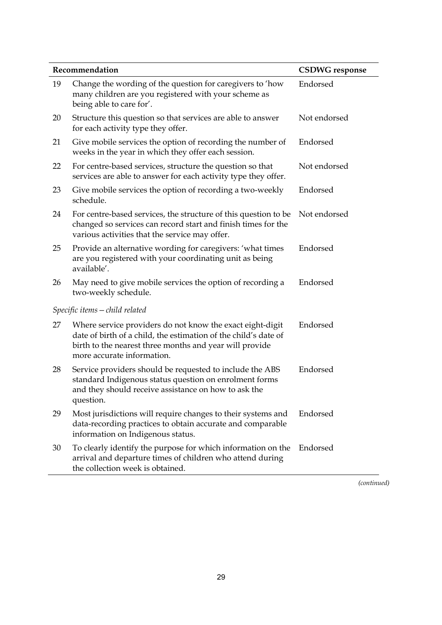| Recommendation |                                                                                                                                                                                                                       | <b>CSDWG</b> response |
|----------------|-----------------------------------------------------------------------------------------------------------------------------------------------------------------------------------------------------------------------|-----------------------|
| 19             | Change the wording of the question for caregivers to 'how<br>many children are you registered with your scheme as<br>being able to care for'.                                                                         | Endorsed              |
| 20             | Structure this question so that services are able to answer<br>for each activity type they offer.                                                                                                                     | Not endorsed          |
| 21             | Give mobile services the option of recording the number of<br>weeks in the year in which they offer each session.                                                                                                     | Endorsed              |
| 22             | For centre-based services, structure the question so that<br>services are able to answer for each activity type they offer.                                                                                           | Not endorsed          |
| 23             | Give mobile services the option of recording a two-weekly<br>schedule.                                                                                                                                                | Endorsed              |
| 24             | For centre-based services, the structure of this question to be<br>changed so services can record start and finish times for the<br>various activities that the service may offer.                                    | Not endorsed          |
| 25             | Provide an alternative wording for caregivers: 'what times<br>are you registered with your coordinating unit as being<br>available'.                                                                                  | Endorsed              |
| 26             | May need to give mobile services the option of recording a<br>two-weekly schedule.                                                                                                                                    | Endorsed              |
|                | Specific items – child related                                                                                                                                                                                        |                       |
| 27             | Where service providers do not know the exact eight-digit<br>date of birth of a child, the estimation of the child's date of<br>birth to the nearest three months and year will provide<br>more accurate information. | Endorsed              |
| 28             | Service providers should be requested to include the ABS<br>standard Indigenous status question on enrolment forms<br>and they should receive assistance on how to ask the<br>question.                               | Endorsed              |
| 29             | Most jurisdictions will require changes to their systems and<br>data-recording practices to obtain accurate and comparable<br>information on Indigenous status.                                                       | Endorsed              |
| 30             | To clearly identify the purpose for which information on the<br>arrival and departure times of children who attend during<br>the collection week is obtained.                                                         | Endorsed              |

*(continued)*